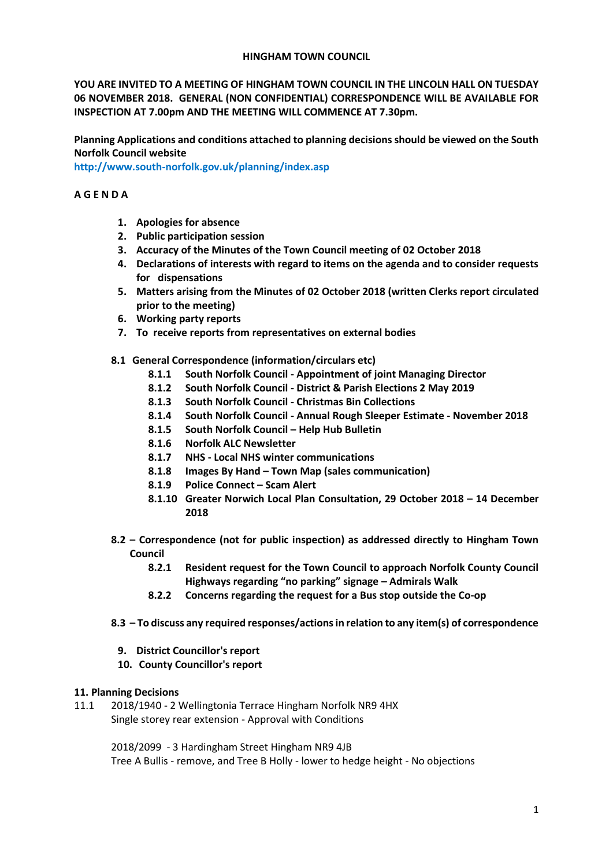#### **HINGHAM TOWN COUNCIL**

**YOU ARE INVITED TO A MEETING OF HINGHAM TOWN COUNCIL IN THE LINCOLN HALL ON TUESDAY 06 NOVEMBER 2018. GENERAL (NON CONFIDENTIAL) CORRESPONDENCE WILL BE AVAILABLE FOR INSPECTION AT 7.00pm AND THE MEETING WILL COMMENCE AT 7.30pm.** 

**Planning Applications and conditions attached to planning decisions should be viewed on the South Norfolk Council website** 

**<http://www.south-norfolk.gov.uk/planning/index.asp>**

# **A G E N D A**

- **1. Apologies for absence**
- **2. Public participation session**
- **3. Accuracy of the Minutes of the Town Council meeting of 02 October 2018**
- **4. Declarations of interests with regard to items on the agenda and to consider requests for dispensations**
- **5. Matters arising from the Minutes of 02 October 2018 (written Clerks report circulated prior to the meeting)**
- **6. Working party reports**
- **7. To receive reports from representatives on external bodies**
- **8.1 General Correspondence (information/circulars etc)**
	- **8.1.1 South Norfolk Council - Appointment of joint Managing Director**
	- **8.1.2 South Norfolk Council - District & Parish Elections 2 May 2019**
	- **8.1.3 South Norfolk Council - Christmas Bin Collections**
	- **8.1.4 South Norfolk Council - Annual Rough Sleeper Estimate - November 2018**
	- **8.1.5 South Norfolk Council – Help Hub Bulletin**
	- **8.1.6 Norfolk ALC Newsletter**
	- **8.1.7 NHS - Local NHS winter communications**
	- **8.1.8 Images By Hand – Town Map (sales communication)**
	- **8.1.9 Police Connect – Scam Alert**
	- **8.1.10 Greater Norwich Local Plan Consultation, 29 October 2018 – 14 December 2018**
- **8.2 – Correspondence (not for public inspection) as addressed directly to Hingham Town Council**
	- **8.2.1 Resident request for the Town Council to approach Norfolk County Council Highways regarding "no parking" signage – Admirals Walk**
	- **8.2.2 Concerns regarding the request for a Bus stop outside the Co-op**
- **8.3 – To discuss any required responses/actions in relation to any item(s) of correspondence** 
	- **9. District Councillor's report**
	- **10. County Councillor's report**

# **11. Planning Decisions**

11.1 2018/1940 - 2 Wellingtonia Terrace Hingham Norfolk NR9 4HX Single storey rear extension - Approval with Conditions

> 2018/2099 - 3 Hardingham Street Hingham NR9 4JB Tree A Bullis - remove, and Tree B Holly - lower to hedge height - No objections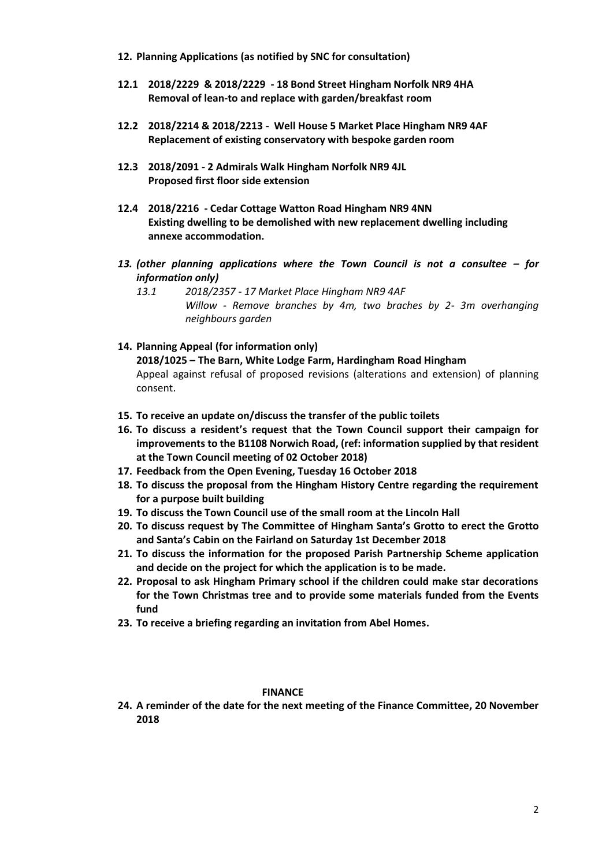- **12. Planning Applications (as notified by SNC for consultation)**
- **12.1 2018/2229 & 2018/2229 - 18 Bond Street Hingham Norfolk NR9 4HA Removal of lean-to and replace with garden/breakfast room**
- **12.2 2018/2214 & 2018/2213 Well House 5 Market Place Hingham NR9 4AF Replacement of existing conservatory with bespoke garden room**
- **12.3 2018/2091 - 2 Admirals Walk Hingham Norfolk NR9 4JL Proposed first floor side extension**
- **12.4 2018/2216 - Cedar Cottage Watton Road Hingham NR9 4NN Existing dwelling to be demolished with new replacement dwelling including annexe accommodation.**
- *13. (other planning applications where the Town Council is not a consultee – for information only)*
	- *13.1 2018/2357 - 17 Market Place Hingham NR9 4AF Willow - Remove branches by 4m, two braches by 2- 3m overhanging neighbours garden*
- **14. Planning Appeal (for information only) 2018/1025 – The Barn, White Lodge Farm, Hardingham Road Hingham** Appeal against refusal of proposed revisions (alterations and extension) of planning consent.
- **15. To receive an update on/discuss the transfer of the public toilets**
- **16. To discuss a resident's request that the Town Council support their campaign for improvements to the B1108 Norwich Road, (ref: information supplied by that resident at the Town Council meeting of 02 October 2018)**
- **17. Feedback from the Open Evening, Tuesday 16 October 2018**
- **18. To discuss the proposal from the Hingham History Centre regarding the requirement for a purpose built building**
- **19. To discuss the Town Council use of the small room at the Lincoln Hall**
- **20. To discuss request by The Committee of Hingham Santa's Grotto to erect the Grotto and Santa's Cabin on the Fairland on Saturday 1st December 2018**
- **21. To discuss the information for the proposed Parish Partnership Scheme application and decide on the project for which the application is to be made.**
- **22. Proposal to ask Hingham Primary school if the children could make star decorations for the Town Christmas tree and to provide some materials funded from the Events fund**
- **23. To receive a briefing regarding an invitation from Abel Homes.**

# **FINANCE**

**24. A reminder of the date for the next meeting of the Finance Committee, 20 November 2018**